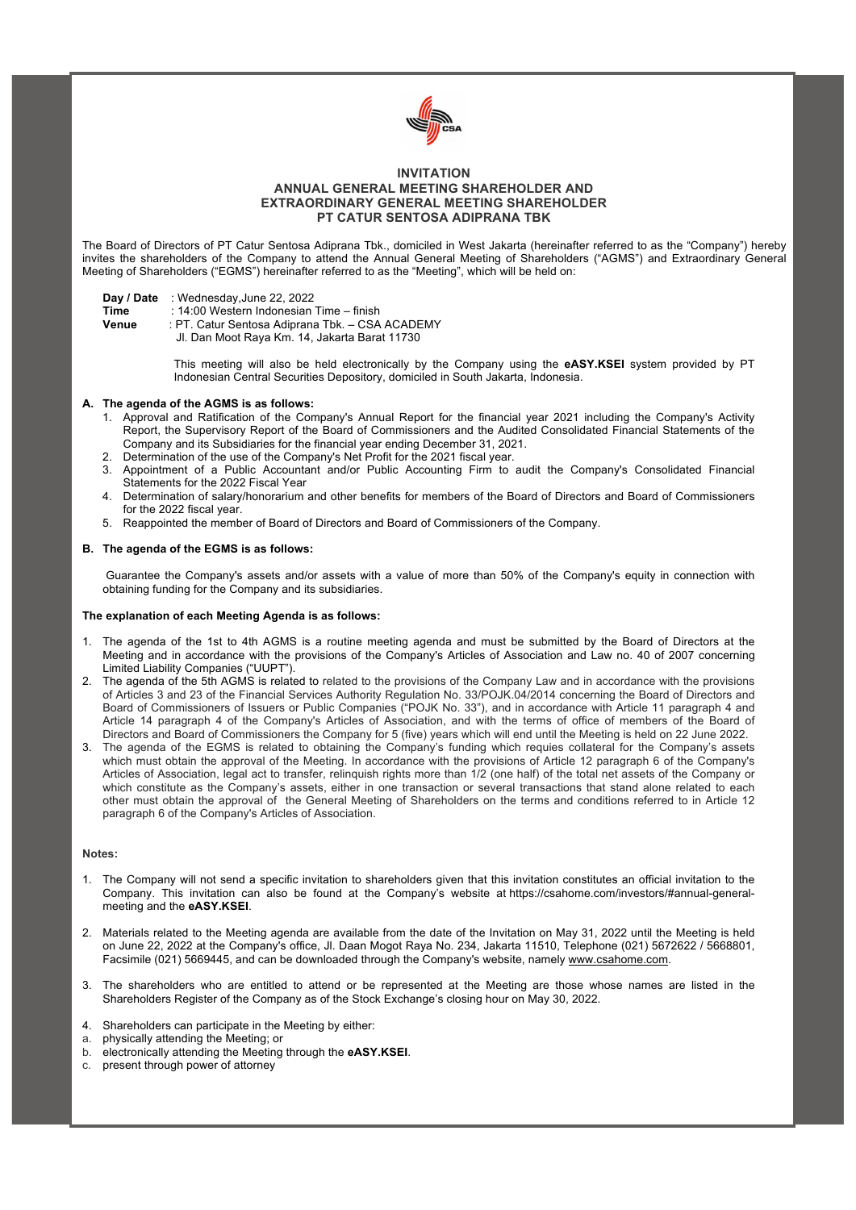

# **INVITATION ANNUAL GENERAL MEETING SHAREHOLDER AND EXTRAORDINARY GENERAL MEETING SHAREHOLDER PT CATUR SENTOSA ADIPRANA TBK**

The Board of Directors of PT Catur Sentosa Adiprana Tbk., domiciled in West Jakarta (hereinafter referred to as the "Company") hereby invites the shareholders of the Company to attend the Annual General Meeting of Shareholders ("AGMS") and Extraordinary General Meeting of Shareholders ("EGMS") hereinafter referred to as the "Meeting", which will be held on:

| Day / Date | : Wednesday, June 22, 2022 |  |
|------------|----------------------------|--|
|------------|----------------------------|--|

**Time** : 14:00 Western Indonesian Time – finish

**Venue** : PT. Catur Sentosa Adiprana Tbk. – CSA ACADEMY

Jl. Dan Moot Raya Km. 14, Jakarta Barat 11730

This meeting will also be held electronically by the Company using the **eASY.KSEI** system provided by PT Indonesian Central Securities Depository, domiciled in South Jakarta, Indonesia.

### **A. The agenda of the AGMS is as follows:**

- 1. Approval and Ratification of the Company's Annual Report for the financial year 2021 including the Company's Activity Report, the Supervisory Report of the Board of Commissioners and the Audited Consolidated Financial Statements of the Company and its Subsidiaries for the financial year ending December 31, 2021.
- 2. Determination of the use of the Company's Net Profit for the 2021 fiscal year.
- 3. Appointment of a Public Accountant and/or Public Accounting Firm to audit the Company's Consolidated Financial Statements for the 2022 Fiscal Year
- 4. Determination of salary/honorarium and other benefits for members of the Board of Directors and Board of Commissioners for the 2022 fiscal year.
- 5. Reappointed the member of Board of Directors and Board of Commissioners of the Company.

### **B. The agenda of the EGMS is as follows:**

Guarantee the Company's assets and/or assets with a value of more than 50% of the Company's equity in connection with obtaining funding for the Company and its subsidiaries.

#### **The explanation of each Meeting Agenda is as follows:**

- 1. The agenda of the 1st to 4th AGMS is a routine meeting agenda and must be submitted by the Board of Directors at the Meeting and in accordance with the provisions of the Company's Articles of Association and Law no. 40 of 2007 concerning Limited Liability Companies ("UUPT").
- 2. The agenda of the 5th AGMS is related to related to the provisions of the Company Law and in accordance with the provisions of Articles 3 and 23 of the Financial Services Authority Regulation No. 33/POJK.04/2014 concerning the Board of Directors and Board of Commissioners of Issuers or Public Companies ("POJK No. 33"), and in accordance with Article 11 paragraph 4 and Article 14 paragraph 4 of the Company's Articles of Association, and with the terms of office of members of the Board of Directors and Board of Commissioners the Company for 5 (five) years which will end until the Meeting is held on 22 June 2022.
- 3. The agenda of the EGMS is related to obtaining the Company's funding which requies collateral for the Company's assets which must obtain the approval of the Meeting. In accordance with the provisions of Article 12 paragraph 6 of the Company's Articles of Association, legal act to transfer, relinquish rights more than 1/2 (one half) of the total net assets of the Company or which constitute as the Company's assets, either in one transaction or several transactions that stand alone related to each other must obtain the approval of the General Meeting of Shareholders on the terms and conditions referred to in Article 12 paragraph 6 of the Company's Articles of Association.

#### **Notes:**

- 1. The Company will not send a specific invitation to shareholders given that this invitation constitutes an official invitation to the Company. This invitation can also be found at the Company's website at https://csahome.com/investors/#annual-generalmeeting and the **eASY.KSEI**.
- 2. Materials related to the Meeting agenda are available from the date of the Invitation on May 31, 2022 until the Meeting is held on June 22, 2022 at the Company's office, Jl. Daan Mogot Raya No. 234, Jakarta 11510, Telephone (021) 5672622 / 5668801, Facsimile (021) 5669445, and can be downloaded through the Company's website, namely www.csahome.com.
- 3. The shareholders who are entitled to attend or be represented at the Meeting are those whose names are listed in the Shareholders Register of the Company as of the Stock Exchange's closing hour on May 30, 2022.
- 4. Shareholders can participate in the Meeting by either:
- a. physically attending the Meeting; or
- b. electronically attending the Meeting through the **eASY.KSEI**.
- c. present through power of attorney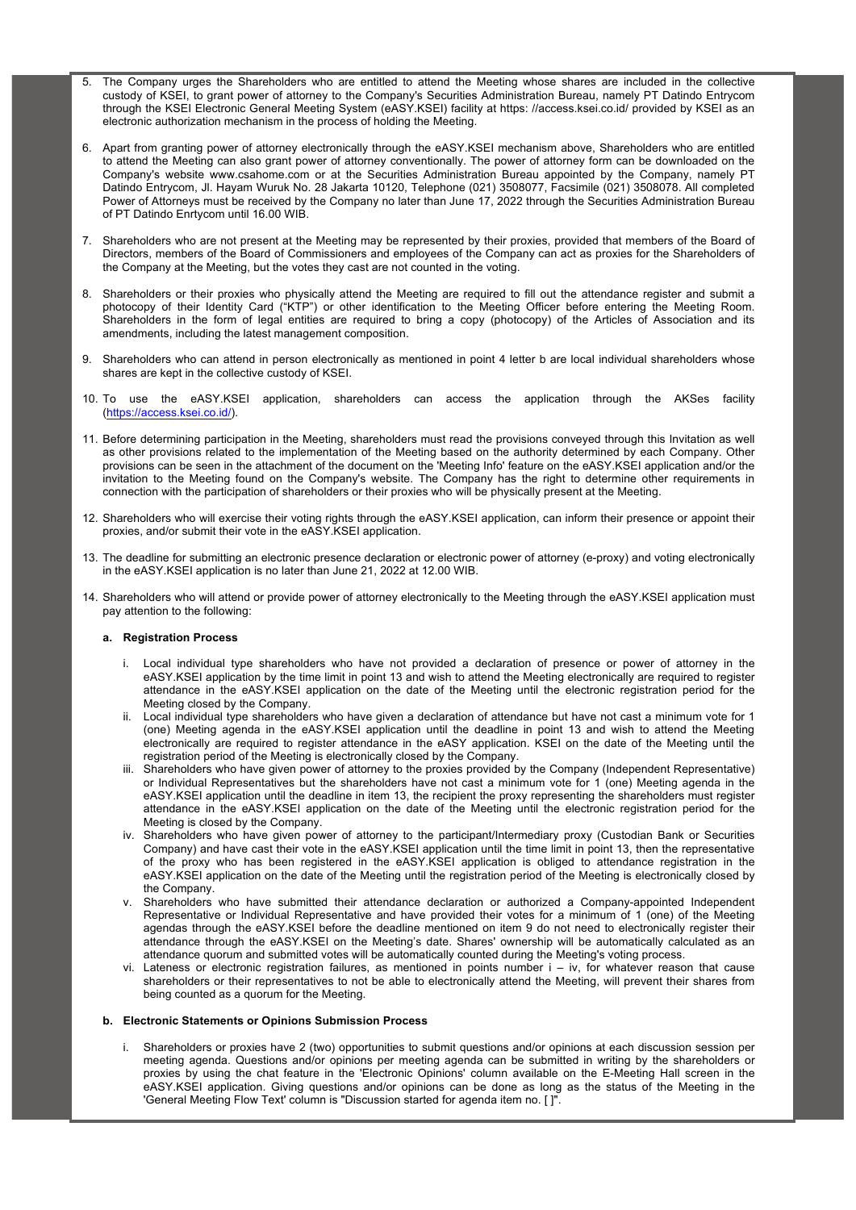- 5. The Company urges the Shareholders who are entitled to attend the Meeting whose shares are included in the collective custody of KSEI, to grant power of attorney to the Company's Securities Administration Bureau, namely PT Datindo Entrycom through the KSEI Electronic General Meeting System (eASY.KSEI) facility at https: //access.ksei.co.id/ provided by KSEI as an electronic authorization mechanism in the process of holding the Meeting.
- 6. Apart from granting power of attorney electronically through the eASY.KSEI mechanism above, Shareholders who are entitled to attend the Meeting can also grant power of attorney conventionally. The power of attorney form can be downloaded on the Company's website www.csahome.com or at the Securities Administration Bureau appointed by the Company, namely PT Datindo Entrycom, Jl. Hayam Wuruk No. 28 Jakarta 10120, Telephone (021) 3508077, Facsimile (021) 3508078. All completed Power of Attorneys must be received by the Company no later than June 17, 2022 through the Securities Administration Bureau of PT Datindo Enrtycom until 16.00 WIB.
- 7. Shareholders who are not present at the Meeting may be represented by their proxies, provided that members of the Board of Directors, members of the Board of Commissioners and employees of the Company can act as proxies for the Shareholders of the Company at the Meeting, but the votes they cast are not counted in the voting.
- 8. Shareholders or their proxies who physically attend the Meeting are required to fill out the attendance register and submit a photocopy of their Identity Card ("KTP") or other identification to the Meeting Officer before entering the Meeting Room. Shareholders in the form of legal entities are required to bring a copy (photocopy) of the Articles of Association and its amendments, including the latest management composition.
- 9. Shareholders who can attend in person electronically as mentioned in point 4 letter b are local individual shareholders whose shares are kept in the collective custody of KSEI.
- 10. To use the eASY.KSEI application, shareholders can access the application through the AKSes facility (https://access.ksei.co.id/).
- 11. Before determining participation in the Meeting, shareholders must read the provisions conveyed through this Invitation as well as other provisions related to the implementation of the Meeting based on the authority determined by each Company. Other provisions can be seen in the attachment of the document on the 'Meeting Info' feature on the eASY.KSEI application and/or the invitation to the Meeting found on the Company's website. The Company has the right to determine other requirements in connection with the participation of shareholders or their proxies who will be physically present at the Meeting.
- 12. Shareholders who will exercise their voting rights through the eASY.KSEI application, can inform their presence or appoint their proxies, and/or submit their vote in the eASY.KSEI application.
- 13. The deadline for submitting an electronic presence declaration or electronic power of attorney (e-proxy) and voting electronically in the eASY.KSEI application is no later than June 21, 2022 at 12.00 WIB.
- 14. Shareholders who will attend or provide power of attorney electronically to the Meeting through the eASY.KSEI application must pay attention to the following:

## **a. Registration Process**

- i. Local individual type shareholders who have not provided a declaration of presence or power of attorney in the eASY.KSEI application by the time limit in point 13 and wish to attend the Meeting electronically are required to register attendance in the eASY.KSEI application on the date of the Meeting until the electronic registration period for the Meeting closed by the Company.
- ii. Local individual type shareholders who have given a declaration of attendance but have not cast a minimum vote for 1 (one) Meeting agenda in the eASY.KSEI application until the deadline in point 13 and wish to attend the Meeting electronically are required to register attendance in the eASY application. KSEI on the date of the Meeting until the registration period of the Meeting is electronically closed by the Company.
- iii. Shareholders who have given power of attorney to the proxies provided by the Company (Independent Representative) or Individual Representatives but the shareholders have not cast a minimum vote for 1 (one) Meeting agenda in the eASY.KSEI application until the deadline in item 13, the recipient the proxy representing the shareholders must register attendance in the eASY.KSEI application on the date of the Meeting until the electronic registration period for the Meeting is closed by the Company.
- iv. Shareholders who have given power of attorney to the participant/Intermediary proxy (Custodian Bank or Securities Company) and have cast their vote in the eASY.KSEI application until the time limit in point 13, then the representative of the proxy who has been registered in the eASY.KSEI application is obliged to attendance registration in the eASY.KSEI application on the date of the Meeting until the registration period of the Meeting is electronically closed by the Company.
- v. Shareholders who have submitted their attendance declaration or authorized a Company-appointed Independent Representative or Individual Representative and have provided their votes for a minimum of 1 (one) of the Meeting agendas through the eASY.KSEI before the deadline mentioned on item 9 do not need to electronically register their attendance through the eASY.KSEI on the Meeting's date. Shares' ownership will be automatically calculated as an attendance quorum and submitted votes will be automatically counted during the Meeting's voting process.
- vi. Lateness or electronic registration failures, as mentioned in points number i iv, for whatever reason that cause shareholders or their representatives to not be able to electronically attend the Meeting, will prevent their shares from being counted as a quorum for the Meeting.

#### **b. Electronic Statements or Opinions Submission Process**

Shareholders or proxies have 2 (two) opportunities to submit questions and/or opinions at each discussion session per meeting agenda. Questions and/or opinions per meeting agenda can be submitted in writing by the shareholders or proxies by using the chat feature in the 'Electronic Opinions' column available on the E-Meeting Hall screen in the eASY.KSEI application. Giving questions and/or opinions can be done as long as the status of the Meeting in the 'General Meeting Flow Text' column is "Discussion started for agenda item no. [ ]".